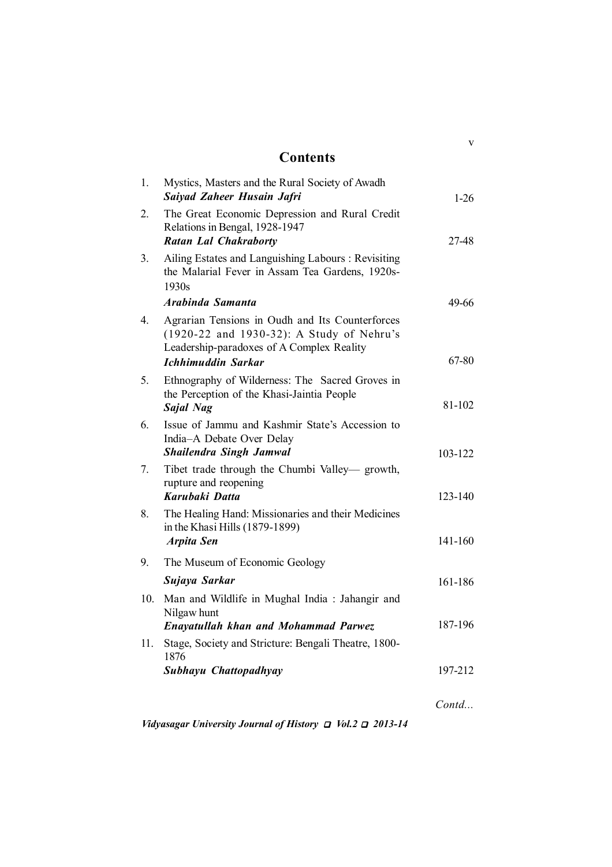## **Contents**

v

| 1.  | Mystics, Masters and the Rural Society of Awadh<br>Saiyad Zaheer Husain Jafri                                                             | $1 - 26$           |
|-----|-------------------------------------------------------------------------------------------------------------------------------------------|--------------------|
| 2.  | The Great Economic Depression and Rural Credit<br>Relations in Bengal, 1928-1947<br><b>Ratan Lal Chakraborty</b>                          | 27-48              |
| 3.  | Ailing Estates and Languishing Labours: Revisiting<br>the Malarial Fever in Assam Tea Gardens, 1920s-<br>1930s                            |                    |
|     | Arabinda Samanta                                                                                                                          | 49-66              |
| 4.  | Agrarian Tensions in Oudh and Its Counterforces<br>(1920-22 and 1930-32): A Study of Nehru's<br>Leadership-paradoxes of A Complex Reality |                    |
|     | <b>Ichhimuddin Sarkar</b>                                                                                                                 | 67-80              |
| 5.  | Ethnography of Wilderness: The Sacred Groves in<br>the Perception of the Khasi-Jaintia People<br><b>Sajal Nag</b>                         | 81-102             |
| 6.  | Issue of Jammu and Kashmir State's Accession to<br>India-A Debate Over Delay<br><b>Shailendra Singh Jamwal</b>                            | 103-122            |
| 7.  | Tibet trade through the Chumbi Valley— growth,<br>rupture and reopening<br>Karubaki Datta                                                 | 123-140            |
| 8.  | The Healing Hand: Missionaries and their Medicines<br>in the Khasi Hills (1879-1899)<br><b>Arpita Sen</b>                                 | 141-160            |
| 9.  | The Museum of Economic Geology                                                                                                            |                    |
|     | Sujaya Sarkar                                                                                                                             | 161-186            |
| 10. | Man and Wildlife in Mughal India: Jahangir and<br>Nilgaw hunt                                                                             |                    |
|     | <b>Enayatullah khan and Mohammad Parwez</b>                                                                                               | 187-196            |
| 11. | Stage, Society and Stricture: Bengali Theatre, 1800-<br>1876                                                                              |                    |
|     | Subhayu Chattopadhyay                                                                                                                     | 197-212            |
|     |                                                                                                                                           | $\mathcal{C}$ ontd |
|     |                                                                                                                                           |                    |

*Vidyasagar University Journal of History*  $\Box$  *Vol.2*  $\Box$  2013-14